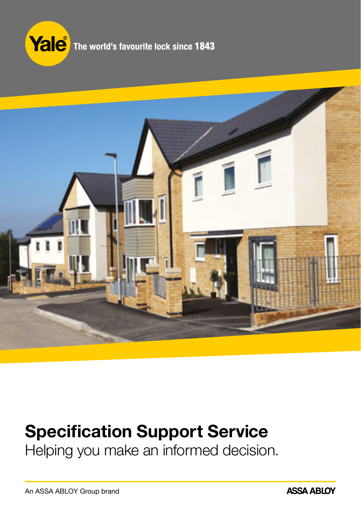



## Specification Support Service

Helping you make an informed decision.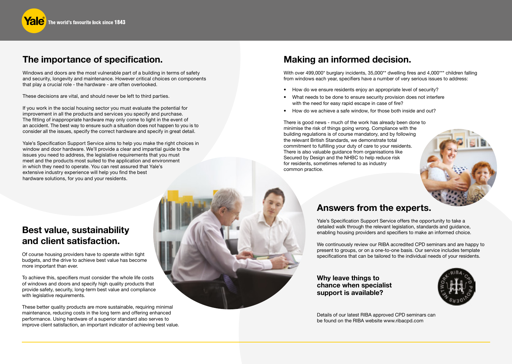## The importance of specification.

Windows and doors are the most vulnerable part of a building in terms of safety and security, longevity and maintenance. However critical choices on components that play a crucial role - the hardware - are often overlooked.

These decisions are vital, and should never be left to third parties.

If you work in the social housing sector you must evaluate the potential for improvement in all the products and services you specify and purchase. The fitting of inappropriate hardware may only come to light in the event of an accident. The best way to ensure such a situation does not happen to you is to consider all the issues, specify the correct hardware and specify in great detail.

Yale's Specification Support Service aims to help you make the right choices in window and door hardware. We'll provide a clear and impartial guide to the issues you need to address, the legislative requirements that you must meet and the products most suited to the application and environment in which they need to operate. You can rest assured that Yale's extensive industry experience will help you find the best hardware solutions, for you and your residents.

## Best value, sustainability and client satisfaction.

Of course housing providers have to operate within tight budgets, and the drive to achieve best value has become more important than ever.

To achieve this, specifiers must consider the whole life costs of windows and doors and specify high quality products that provide safety, security, long-term best value and compliance with legislative requirements.

These better quality products are more sustainable, requiring minimal maintenance, reducing costs in the long term and offering enhanced performance. Using hardware of a superior standard also serves to improve client satisfaction, an important indicator of achieving best value.

## Making an informed decision.

With over 499,000\* burglary incidents, 35,000\*\* dwelling fires and 4,000\*\*\* children falling from windows each year, specifiers have a number of very serious issues to address:

- How do we ensure residents enjoy an appropriate level of security?
- What needs to be done to ensure security provision does not interfere with the need for easy rapid escape in case of fire?
- How do we achieve a safe window, for those both inside and out?

There is good news - much of the work has already been done to minimise the risk of things going wrong. Compliance with the building regulations is of course mandatory, and by following the relevant British Standards, we demonstrate total commitment to fulfilling your duty of care to your residents. There is also valuable guidance from organisations like Secured by Design and the NHBC to help reduce risk for residents, sometimes referred to as industry common practice.



## Answers from the experts.

Yale's Specification Support Service offers the opportunity to take a detailed walk through the relevant legislation, standards and guidance, enabling housing providers and specifiers to make an informed choice.

We continuously review our RIBA accredited CPD seminars and are happy to present to groups, or on a one-to-one basis. Our service includes template specifications that can be tailored to the individual needs of your residents.

Why leave things to chance when specialist support is available?



Details of our latest RIBA approved CPD seminars can be found on the RIBA website www.ribacpd.com